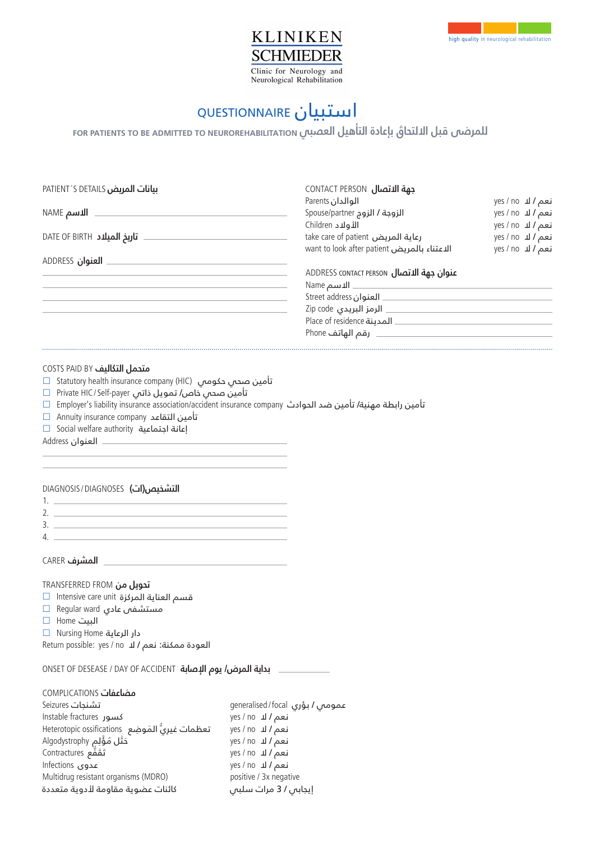

# استبيان Questionnaire

# **For patients to be admitted To Neurorehabilitation للمرضى قبل االلتحاق بإعادة التأهيل العصبي**

| <b>PATIENT'S DETAILS بيانات المريض</b> | CONTACT PERSON <b>بهة الاتصال</b>           |                                  |
|----------------------------------------|---------------------------------------------|----------------------------------|
|                                        | الوالدان Parents                            | <b>ن</b> عم <b>/ لا</b> yes / no |
| <b>الاسم NAME</b>                      | الزوجة / الزوج Spouse/partner               | نعم I لا yes / no                |
|                                        | الأولاد Children                            | نعم / لا yes / no                |
| <b>DATE OF BIRTH تاريخ الميلاد</b>     | take care of patient رعاية المريض           | <b>ن</b> عم <b>/</b> لا yes / no |
|                                        | want to look after patient الاعتناء بالمريض | نعم / لا yes / no                |
| <b>ADDRESS</b> العنوان                 |                                             |                                  |
|                                        | <b>ADDRESS CONTACT PERSON ULL ADDRESS</b>   |                                  |
|                                        | الاسم Name                                  |                                  |
|                                        | Street address العنوان                      |                                  |
|                                        | الرمز البريدي Zip code                      |                                  |
|                                        | Place of residence المدينة                  |                                  |
|                                        | رقم الهاتف Phone                            |                                  |

#### Costs paid by  **متحمل التكاليف**

- Statutory health insurance company (HIC) تأمين صحي حكومي
- Private HIC/ Self-payer تأمين صحي خاص/ تمويل ذاتي
- Employer's liability insurance association/accident insurance company تأمين رابطة مهنية/ تأمين ضد الحوادث
- Annuity insurance company تأمين التقاعد
- Social welfare authority إعانة اجتماعية

Address العنوان

## diagnosis /diagnoses  **التشخيص)ات(**

- 1.  $2.$ 3. 4.
- Carer  **المشرف**

#### Transferred from  **تحويل من**

- $\Box$  Intensive care unit المركزة attensive care unit
- Regular ward مستشفى عادي
- Home البيت
- Nursing Home دار الرعاية
- Return possible: yes / no العودة ممكنة: نعم / ال

## Onset of desease / day of accident  **بداية المرض/ يوم اإلصابة**

## complications **مضاعفات**

Seizures generalised /focal عمومي / بؤري Instable fractures yes / no كسور Heterotopic ossifications yes / no ِ تعظمات غير ُّي َ الموضِ ع Algodystrophy yes / no َ حَث ُل مْؤلِم Contractures yes / no تَ قَ فُّ ع Infections yes / no عدوى Multidrug resistant organisms (MDRO) positive / 3x negative تشنجات كائنات عضوية مقاومة لأدوية متعددة

 نعم / ال نعم / ال نعم / ال نعم / ال نعم / ال إيجابي / 3 مرات سلبي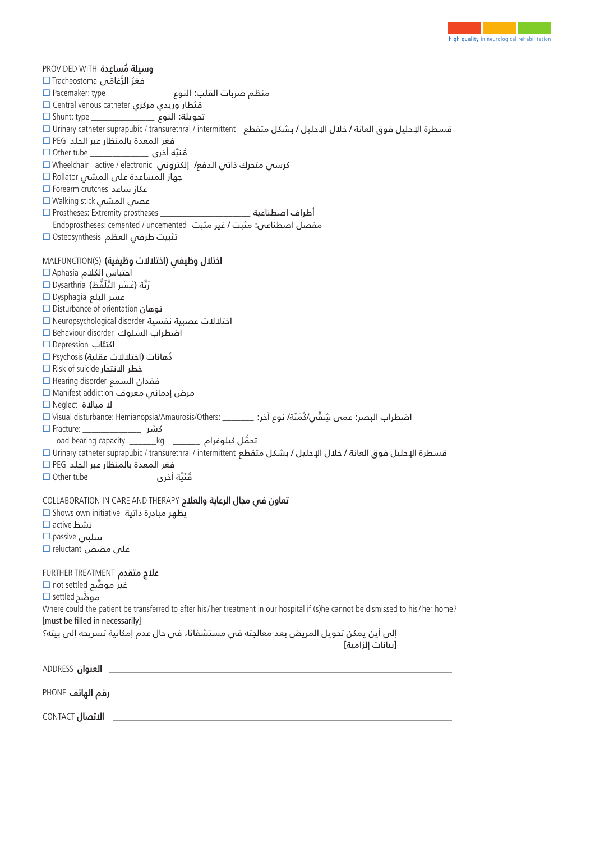| وسيلة مُساعدة PROVIDED WITH<br>آهَغْرُ الرَّغامَى Tracheostoma □<br>منظم ضربات القلب: النوع ___________________ Pacemaker: type □<br>قثطار وريدي مركزي Central venous catheter □<br>تحويلة: النوع __________________ Shunt: type □<br>قسطرة الإحليل فوق العانة / خلال الإحليل / بشكل متقطع   Urinary catheter suprapubic / transurethral / intermittent ال<br>فغر المعدة بالمنظار عبر الجلد PEG □<br>قُنَيَّة أخرى ________________ Other tube □<br>كرسمي متحرك ذاتمي الدفع/ إلكترونمي Wheelchair  active / electronic ا<br>$\Box$ Rollator على المشى $\Box$<br>عكاز ساعد Forearm crutches<br>عصص المشى Walking stick □<br>أطراف اصطناعية ______Prostheses: Extremity prostheses<br>مفصل اصطناعي: مثبت / غير مثبت Endoprostheses: cemented / uncemented<br>تثبيت طرفس العظم Osteosynthesis □                                                                                            |
|-----------------------------------------------------------------------------------------------------------------------------------------------------------------------------------------------------------------------------------------------------------------------------------------------------------------------------------------------------------------------------------------------------------------------------------------------------------------------------------------------------------------------------------------------------------------------------------------------------------------------------------------------------------------------------------------------------------------------------------------------------------------------------------------------------------------------------------------------------------------------------------------|
| اختلال وظيفى (اختلالات وظيفية) MALFUNCTION(S)<br>احتباس الكلام Aphasia □<br>رُتَّة (عُسْرِ التَّلَفَّظ) Dysarthria □<br>عسر البلع Dysphagia □<br>توهان Disturbance of orientation □<br>اختلالات عصبية نفسية Neuropsychological disorder □<br>اضطراب السلوك Behaviour disorder □<br>اکتئاب Depression □<br>ذّهانات (اختلالات عقلية) Psychosis □<br>$\Box$ Risk of suicide اخطر الانتحار<br>فقدان السمع Hearing disorder □<br>مرض إدمانس معروف Manifest addiction □<br>$\Box$ Neglect لا مبالاة $\Box$<br>اضطراب البصر: عمں شِقِّي/دُمْنَة/ نوع آخر: _______ :Visual disturbance: Hemianopsia/Amaurosis/Others ا<br>تحمُّل كيلوغرام _________ kg ________ Load-bearing capacity<br>قسطرة الإحليل فوق العانة / خلال الإحليل / بشكل متقطع Urinary catheter suprapubic / transurethral / intermittent<br>فغر المعدة بالمنظار عبر الجلد PEG □<br>قُنَيَّة أخرى _________________ Other tube □ |
| تعاون فس مجال الرعاية والعلاج COLLABORATION IN CARE AND THERAPY<br>يظهر مبادرة ذاتية Shows own initiative □<br>نشط active □<br>سلبی passive □<br>على مضض reluctant                                                                                                                                                                                                                                                                                                                                                                                                                                                                                                                                                                                                                                                                                                                      |
| <b>علاج متقدم FURTHER TREATMENT</b><br>غیر موضَّح not settled □<br>موضَّم settled □<br>Where could the patient be transferred to after his / her treatment in our hospital if (s)he cannot be dismissed to his / her home?<br>[must be filled in necessarily]<br>إلى أين يمكن تحويل المريض بعد معالجته فىي مستشفانا، فىي حال عدم إمكانية تسريحه إلى بيته؟<br>[سانات إلزامية]                                                                                                                                                                                                                                                                                                                                                                                                                                                                                                            |
| <u> 1989 - Johann Stoff, deutscher Stoff, der Stoff, der Stoff, der Stoff, der Stoff, der Stoff, der Stoff, der S</u><br><b>ADDRESS</b> العنوان                                                                                                                                                                                                                                                                                                                                                                                                                                                                                                                                                                                                                                                                                                                                         |
|                                                                                                                                                                                                                                                                                                                                                                                                                                                                                                                                                                                                                                                                                                                                                                                                                                                                                         |

contact  **االتصال**